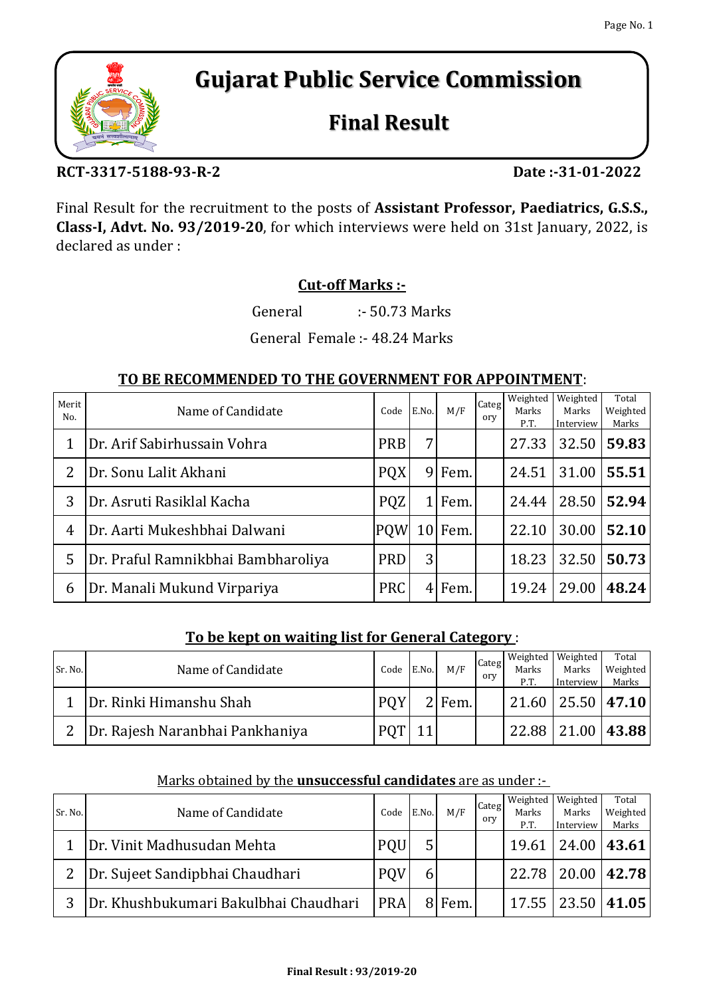

# **Gujarat Public Service Commission**

## **Final Result**

## **RCT-3317-5188-93-R-2**

**Date :-31-01-2022**

Final Result for the recruitment to the posts of **Assistant Professor, Paediatrics, G.S.S., Class-I, Advt. No. 93/2019-20**, for which interviews were held on 31st January, 2022, is declared as under :

## **Cut-off Marks :-**

General :- 50.73 Marks

General Female :- 48.24 Marks

## **TO BE RECOMMENDED TO THE GOVERNMENT FOR APPOINTMENT**:

| Merit<br>No. | Name of Candidate                  | Code       | E.No.          | M/F       | Categ<br>ory | Weighted<br>Marks<br>P.T. | Weighted<br>Marks<br>Interview | Total<br>Weighted<br>Marks |
|--------------|------------------------------------|------------|----------------|-----------|--------------|---------------------------|--------------------------------|----------------------------|
|              | Dr. Arif Sabirhussain Vohra        | PRB        | 7 <sub>1</sub> |           |              | 27.33                     | 32.50                          | 59.83                      |
| 2            | Dr. Sonu Lalit Akhani              | <b>PQX</b> |                | 9 Fem.    |              | 24.51                     | 31.00                          | 55.51                      |
| 3            | Dr. Asruti Rasiklal Kacha          | <b>PQZ</b> | 11             | Fem.      |              | 24.44                     | 28.50                          | 52.94                      |
| 4            | Dr. Aarti Mukeshbhai Dalwani       | <b>POW</b> |                | $10$ Fem. |              | 22.10                     | 30.00                          | 52.10                      |
| 5            | Dr. Praful Ramnikbhai Bambharoliya | <b>PRD</b> | 3 <sup>l</sup> |           |              | 18.23                     | 32.50                          | 50.73                      |
| 6            | Dr. Manali Mukund Virpariya        | <b>PRC</b> |                | $4$ Fem.  |              | 19.24                     | 29.00                          | 48.24                      |

#### **To be kept on waiting list for General Category** :

| Sr. No. | Name of Candidate               | Code       | E.No. | M/F      | Categ<br>ory | Marks<br>P.T.           | Weighted   Weighted  <br>Marks<br>Interview | Total<br>Weighted<br>Marks |
|---------|---------------------------------|------------|-------|----------|--------------|-------------------------|---------------------------------------------|----------------------------|
|         | Dr. Rinki Himanshu Shah         | <b>POY</b> |       | $2$ Fem. |              | $21.60$   25.50   47.10 |                                             |                            |
|         | Dr. Rajesh Naranbhai Pankhaniya |            |       |          |              | 22.88                   | 21.00                                       | 43.88                      |

| Sr. No. | Name of Candidate                     | Code       | E.No. | M/F    | Categ<br>ory | Weighted<br>Marks<br>P.T. | Weighted<br>Marks<br>Interview | Total<br>Weighted<br>Marks |
|---------|---------------------------------------|------------|-------|--------|--------------|---------------------------|--------------------------------|----------------------------|
|         | Dr. Vinit Madhusudan Mehta            | PQU        |       |        |              |                           | 19.61   24.00   43.61          |                            |
|         | Dr. Sujeet Sandipbhai Chaudhari       | <b>POV</b> |       |        |              |                           | 22.78   20.00   42.78          |                            |
|         | Dr. Khushbukumari Bakulbhai Chaudhari | <b>PRA</b> |       | 8 Fem. |              |                           | 17.55 23.50 41.05              |                            |

#### Marks obtained by the **unsuccessful candidates** are as under :-